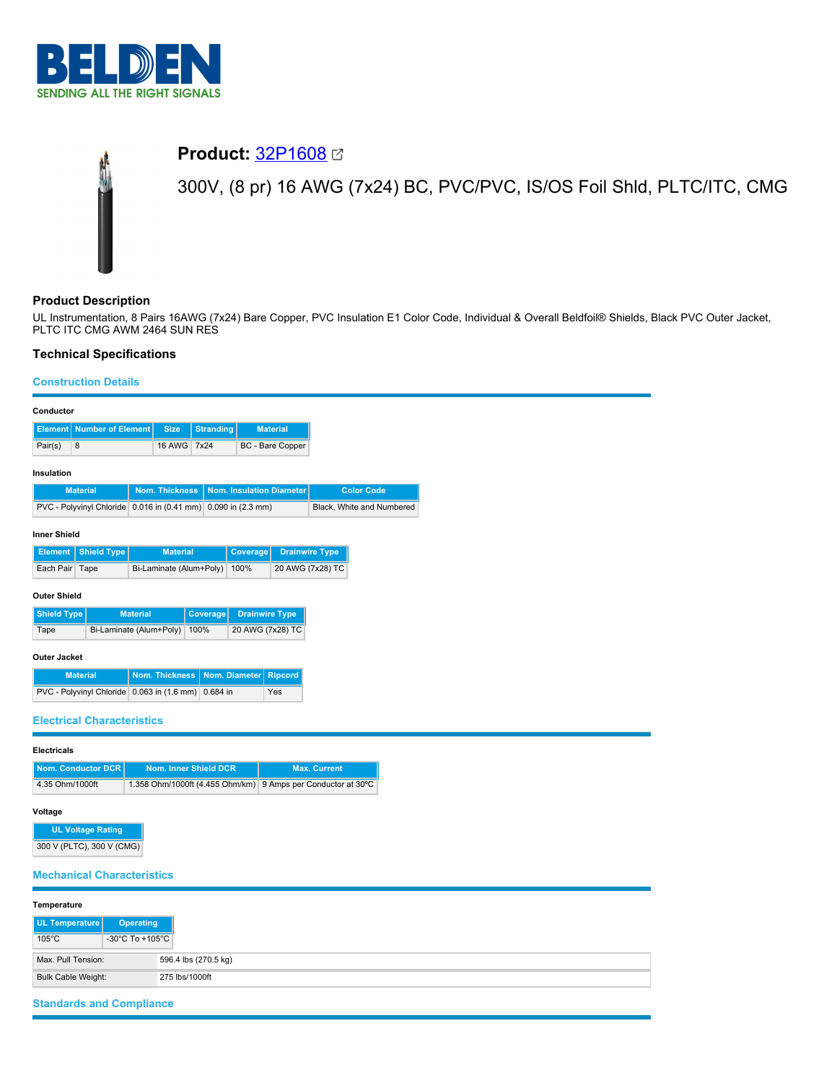

# **Product:** [32P1608](https://catalog.belden.com/index.cfm?event=pd&p=PF_32P1608&tab=downloads) 300V, (8 pr) 16 AWG (7x24) BC, PVC/PVC, IS/OS Foil Shld, PLTC/ITC, CMG

# **Product Description**

UL Instrumentation, 8 Pairs 16AWG (7x24) Bare Copper, PVC Insulation E1 Color Code, Individual & Overall Beldfoil® Shields, Black PVC Outer Jacket, PLTC ITC CMG AWM 2464 SUN RES

# **Technical Specifications**

### **Construction Details**

| Conductor                                                     |                                                              |                       |                       |                          |                       |                           |
|---------------------------------------------------------------|--------------------------------------------------------------|-----------------------|-----------------------|--------------------------|-----------------------|---------------------------|
| <b>Element</b> Number of Element                              | <b>Size</b>                                                  | <b>Stranding</b>      |                       | <b>Material</b>          |                       |                           |
| Pair(s)<br>8                                                  | 16 AWG 7x24                                                  |                       |                       | BC - Bare Copper         |                       |                           |
|                                                               |                                                              |                       |                       |                          |                       |                           |
| Insulation                                                    |                                                              |                       |                       |                          |                       |                           |
| <b>Material</b>                                               | Nom. Thickness                                               |                       |                       | Nom. Insulation Diameter |                       | <b>Color Code</b>         |
| PVC - Polyvinyl Chloride 0.016 in (0.41 mm) 0.090 in (2.3 mm) |                                                              |                       |                       |                          |                       | Black, White and Numbered |
|                                                               |                                                              |                       |                       |                          |                       |                           |
| <b>Inner Shield</b>                                           |                                                              |                       |                       |                          |                       |                           |
| <b>Shield Type</b><br>Element                                 | <b>Material</b>                                              |                       | Coverage              |                          | <b>Drainwire Type</b> |                           |
| Each Pair Tape                                                | Bi-Laminate (Alum+Poly)                                      |                       | 100%                  |                          | 20 AWG (7x28) TC      |                           |
| <b>Outer Shield</b>                                           |                                                              |                       |                       |                          |                       |                           |
| <b>Shield Type</b>                                            | <b>Material</b>                                              | Coverage              | <b>Drainwire Type</b> |                          |                       |                           |
| Tape                                                          | Bi-Laminate (Alum+Poly)                                      | 100%                  | 20 AWG (7x28) TC      |                          |                       |                           |
|                                                               |                                                              |                       |                       |                          |                       |                           |
| Outer Jacket                                                  |                                                              |                       |                       |                          |                       |                           |
| <b>Material</b>                                               | Nom. Thickness                                               | Nom. Diameter         |                       | <b>Ripcord</b>           |                       |                           |
| PVC - Polyvinyl Chloride 0.063 in (1.6 mm) 0.684 in           |                                                              |                       |                       | Yes                      |                       |                           |
|                                                               |                                                              |                       |                       |                          |                       |                           |
| <b>Electrical Characteristics</b>                             |                                                              |                       |                       |                          |                       |                           |
| <b>Electricals</b>                                            |                                                              |                       |                       |                          |                       |                           |
|                                                               |                                                              |                       |                       |                          |                       |                           |
| <b>Nom. Conductor DCR</b>                                     |                                                              | Nom. Inner Shield DCR |                       |                          | <b>Max. Current</b>   |                           |
| 4.35 Ohm/1000ft                                               | 1.358 Ohm/1000ft (4.455 Ohm/km) 9 Amps per Conductor at 30°C |                       |                       |                          |                       |                           |
| Voltage                                                       |                                                              |                       |                       |                          |                       |                           |
| <b>UL Voltage Rating</b>                                      |                                                              |                       |                       |                          |                       |                           |
| 300 V (PLTC), 300 V (CMG)                                     |                                                              |                       |                       |                          |                       |                           |
|                                                               |                                                              |                       |                       |                          |                       |                           |
| <b>Mechanical Characteristics</b>                             |                                                              |                       |                       |                          |                       |                           |
|                                                               |                                                              |                       |                       |                          |                       |                           |
| Temperature                                                   |                                                              |                       |                       |                          |                       |                           |
| UL Temperature                                                | <b>Operating</b>                                             |                       |                       |                          |                       |                           |
| $105^{\circ}$ C                                               | -30°C To +105°C                                              |                       |                       |                          |                       |                           |
| Max. Pull Tension:                                            |                                                              | 596.4 lbs (270.5 kg)  |                       |                          |                       |                           |
|                                                               |                                                              |                       |                       |                          |                       |                           |

**Standards and Compliance**

Bulk Cable Weight: 275 lbs/1000ft